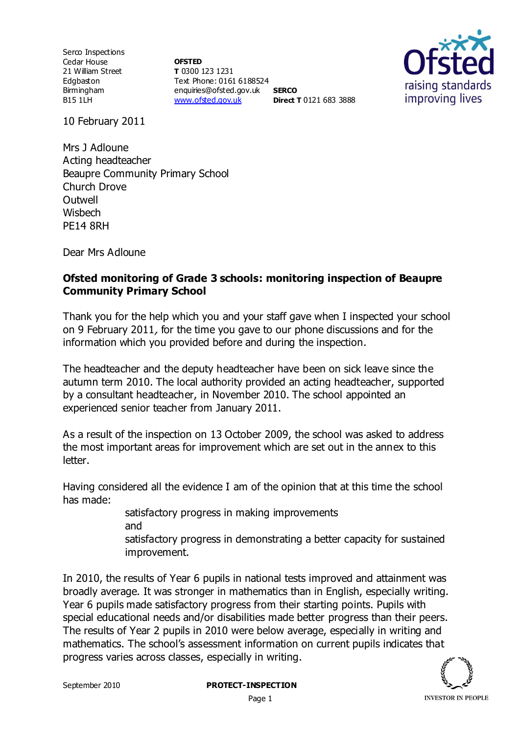Serco Inspections Cedar House 21 William Street Edgbaston Birmingham B15 1LH

**OFSTED T** 0300 123 1231 Text Phone: 0161 6188524 enquiries@ofsted.gov.uk **SERCO** [www.ofsted.gov.uk](http://www.ofsted.gov.uk/) **Direct T** 0121 683 3888



10 February 2011

Mrs J Adloune Acting headteacher Beaupre Community Primary School Church Drove **Outwell Wishech** PE14 8RH

Dear Mrs Adloune

## **Ofsted monitoring of Grade 3 schools: monitoring inspection of Beaupre Community Primary School**

Thank you for the help which you and your staff gave when I inspected your school on 9 February 2011, for the time you gave to our phone discussions and for the information which you provided before and during the inspection.

The headteacher and the deputy headteacher have been on sick leave since the autumn term 2010. The local authority provided an acting headteacher, supported by a consultant headteacher, in November 2010. The school appointed an experienced senior teacher from January 2011.

As a result of the inspection on 13 October 2009, the school was asked to address the most important areas for improvement which are set out in the annex to this letter.

Having considered all the evidence I am of the opinion that at this time the school has made:

> satisfactory progress in making improvements and satisfactory progress in demonstrating a better capacity for sustained improvement.

In 2010, the results of Year 6 pupils in national tests improved and attainment was broadly average. It was stronger in mathematics than in English, especially writing. Year 6 pupils made satisfactory progress from their starting points. Pupils with special educational needs and/or disabilities made better progress than their peers. The results of Year 2 pupils in 2010 were below average, especially in writing and mathematics. The school's assessment information on current pupils indicates that progress varies across classes, especially in writing.

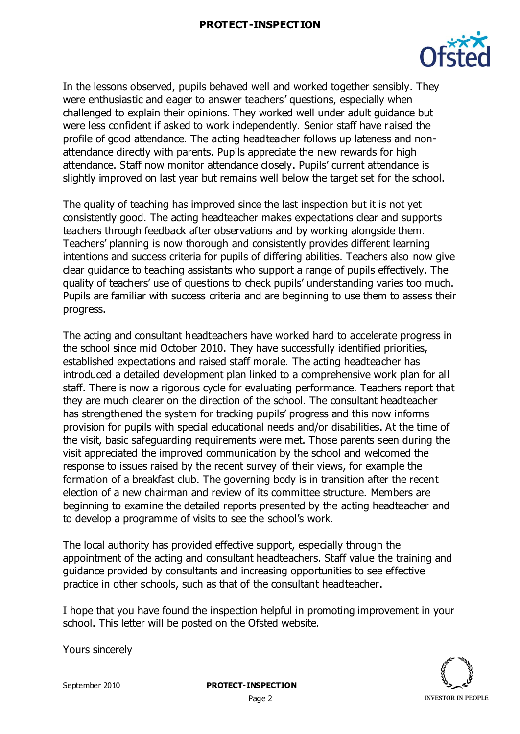## **PROTECT-INSPECTION**



In the lessons observed, pupils behaved well and worked together sensibly. They were enthusiastic and eager to answer teachers' questions, especially when challenged to explain their opinions. They worked well under adult guidance but were less confident if asked to work independently. Senior staff have raised the profile of good attendance. The acting headteacher follows up lateness and nonattendance directly with parents. Pupils appreciate the new rewards for high attendance. Staff now monitor attendance closely. Pupils' current attendance is slightly improved on last year but remains well below the target set for the school.

The quality of teaching has improved since the last inspection but it is not yet consistently good. The acting headteacher makes expectations clear and supports teachers through feedback after observations and by working alongside them. Teachers' planning is now thorough and consistently provides different learning intentions and success criteria for pupils of differing abilities. Teachers also now give clear guidance to teaching assistants who support a range of pupils effectively. The quality of teachers' use of questions to check pupils' understanding varies too much. Pupils are familiar with success criteria and are beginning to use them to assess their progress.

The acting and consultant headteachers have worked hard to accelerate progress in the school since mid October 2010. They have successfully identified priorities, established expectations and raised staff morale. The acting headteacher has introduced a detailed development plan linked to a comprehensive work plan for all staff. There is now a rigorous cycle for evaluating performance. Teachers report that they are much clearer on the direction of the school. The consultant headteacher has strengthened the system for tracking pupils' progress and this now informs provision for pupils with special educational needs and/or disabilities. At the time of the visit, basic safeguarding requirements were met. Those parents seen during the visit appreciated the improved communication by the school and welcomed the response to issues raised by the recent survey of their views, for example the formation of a breakfast club. The governing body is in transition after the recent election of a new chairman and review of its committee structure. Members are beginning to examine the detailed reports presented by the acting headteacher and to develop a programme of visits to see the school's work.

The local authority has provided effective support, especially through the appointment of the acting and consultant headteachers. Staff value the training and guidance provided by consultants and increasing opportunities to see effective practice in other schools, such as that of the consultant headteacher.

I hope that you have found the inspection helpful in promoting improvement in your school. This letter will be posted on the Ofsted website.

Yours sincerely

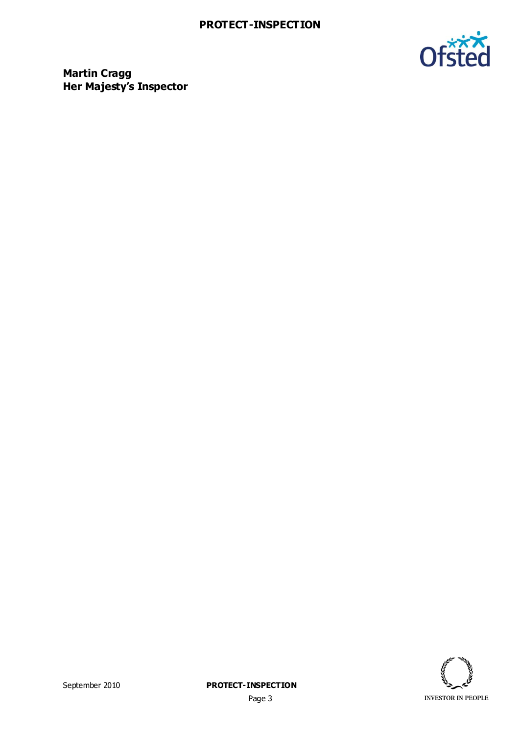

**Martin Cragg Her Majesty's Inspector**